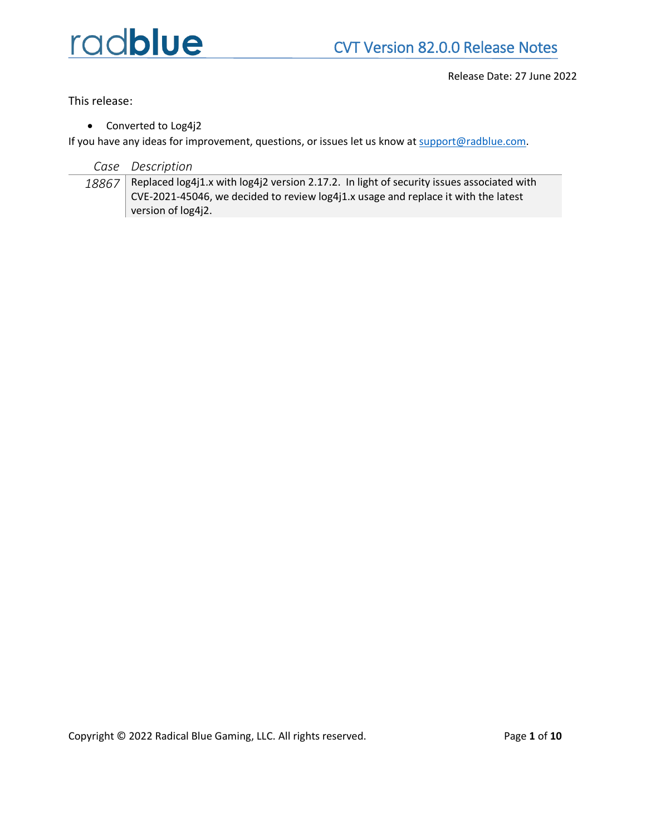

Release Date: 27 June 2022

This release:

• Converted to Log4j2

If you have any ideas for improvement, questions, or issues let us know at [support@radblue.com.](mailto:support@radblue.com)

| Case | Description |
|------|-------------|
|------|-------------|

18867 Replaced log4j1.x with log4j2 version 2.17.2. In light of security issues associated with CVE-2021-45046, we decided to review log4j1.x usage and replace it with the latest version of log4j2.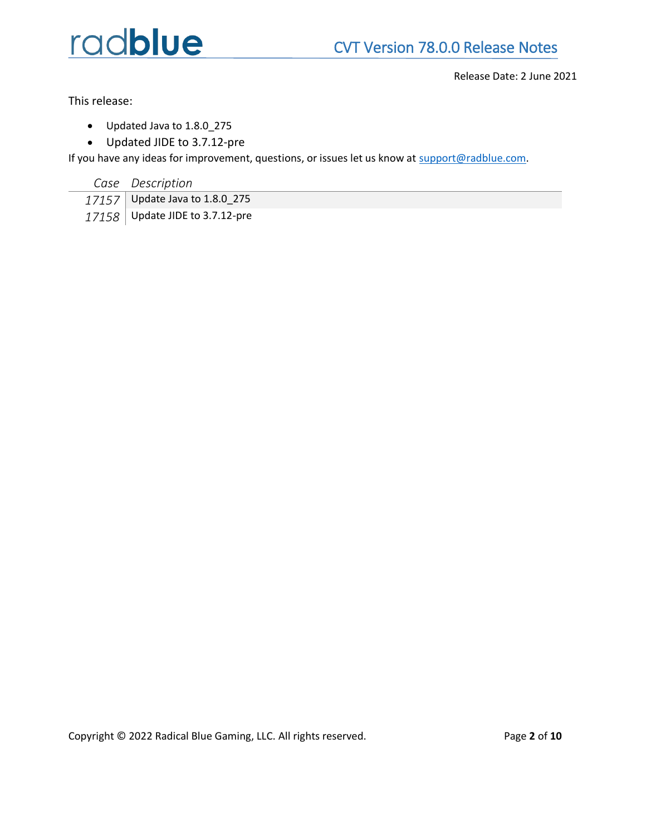

Release Date: 2 June 2021

This release:

- Updated Java to 1.8.0\_275
- Updated JIDE to 3.7.12-pre

If you have any ideas for improvement, questions, or issues let us know at [support@radblue.com.](mailto:support@radblue.com)

*Case Description*

| $17157$ Update Java to 1.8.0_275 |
|----------------------------------|
| 17158 Update JIDE to 3.7.12-pre  |

Copyright © 2022 Radical Blue Gaming, LLC. All rights reserved. Page **2** of **10**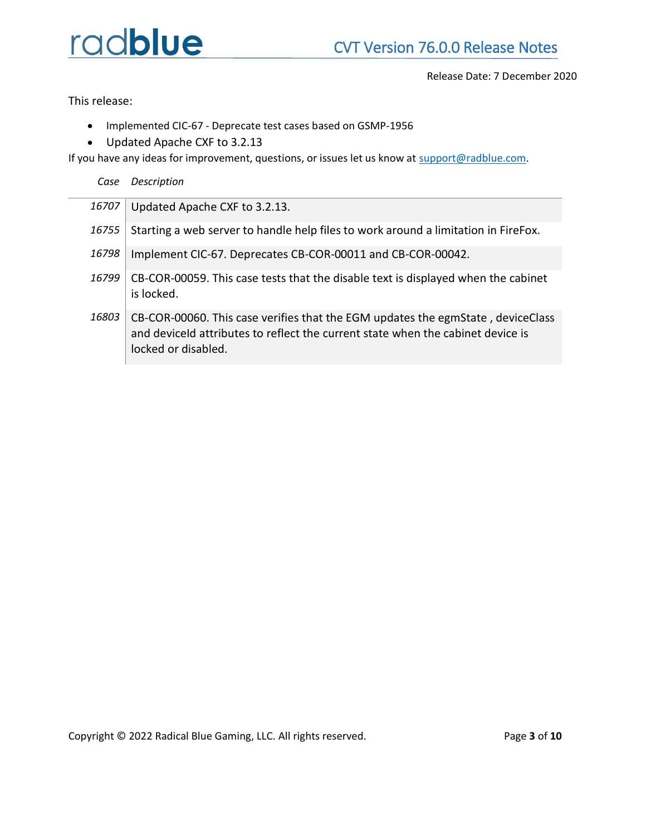Release Date: 7 December 2020

This release:

- Implemented CIC-67 Deprecate test cases based on GSMP-1956
- Updated Apache CXF to 3.2.13

locked or disabled.

If you have any ideas for improvement, questions, or issues let us know at [support@radblue.com.](mailto:support@radblue.com)

*Case Description*

| 16707 | Updated Apache CXF to 3.2.13.                                                                                                                                      |
|-------|--------------------------------------------------------------------------------------------------------------------------------------------------------------------|
| 16755 | Starting a web server to handle help files to work around a limitation in FireFox.                                                                                 |
| 16798 | Implement CIC-67. Deprecates CB-COR-00011 and CB-COR-00042.                                                                                                        |
| 16799 | CB-COR-00059. This case tests that the disable text is displayed when the cabinet<br>is locked.                                                                    |
| 16803 | CB-COR-00060. This case verifies that the EGM updates the egmState, deviceClass<br>and deviceld attributes to reflect the current state when the cabinet device is |

Copyright © 2022 Radical Blue Gaming, LLC. All rights reserved. Page **3** of **10**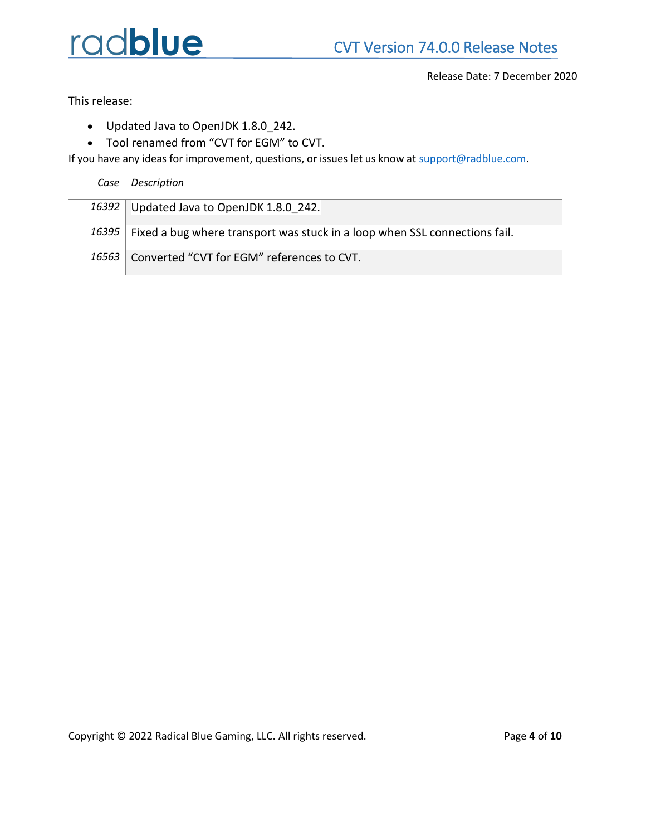Release Date: 7 December 2020

This release:

- Updated Java to OpenJDK 1.8.0\_242.
- Tool renamed from "CVT for EGM" to CVT.

If you have any ideas for improvement, questions, or issues let us know at [support@radblue.com.](mailto:support@radblue.com)

*Case Description*

*16392* Updated Java to OpenJDK 1.8.0\_242.

16395 | Fixed a bug where transport was stuck in a loop when SSL connections fail.

16563 Converted "CVT for EGM" references to CVT.

Copyright © 2022 Radical Blue Gaming, LLC. All rights reserved. Page **4** of **10**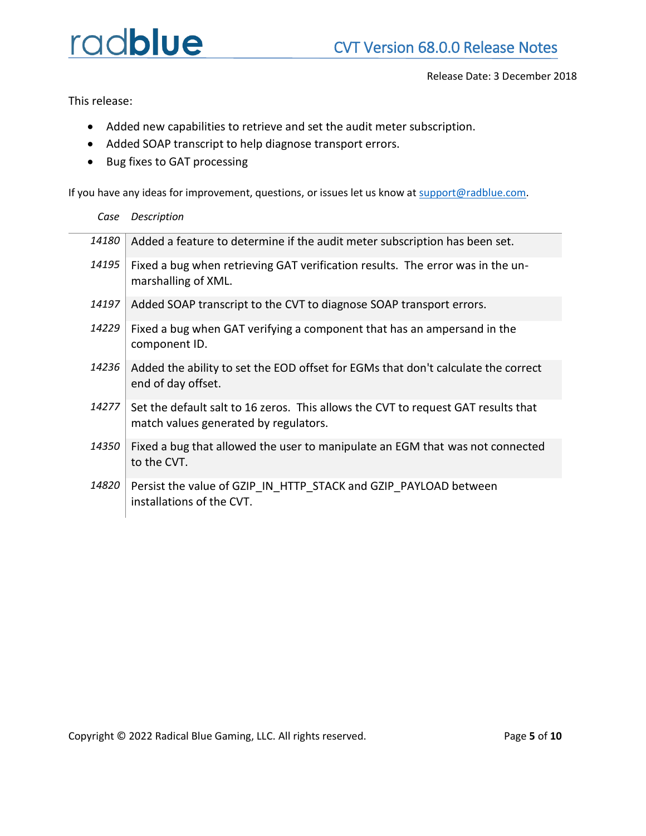Release Date: 3 December 2018

This release:

- Added new capabilities to retrieve and set the audit meter subscription.
- Added SOAP transcript to help diagnose transport errors.
- Bug fixes to GAT processing

If you have any ideas for improvement, questions, or issues let us know at [support@radblue.com.](mailto:support@radblue.com)

| Case  | Description                                                                                                                |
|-------|----------------------------------------------------------------------------------------------------------------------------|
| 14180 | Added a feature to determine if the audit meter subscription has been set.                                                 |
| 14195 | Fixed a bug when retrieving GAT verification results. The error was in the un-<br>marshalling of XML.                      |
| 14197 | Added SOAP transcript to the CVT to diagnose SOAP transport errors.                                                        |
| 14229 | Fixed a bug when GAT verifying a component that has an ampersand in the<br>component ID.                                   |
| 14236 | Added the ability to set the EOD offset for EGMs that don't calculate the correct<br>end of day offset.                    |
| 14277 | Set the default salt to 16 zeros. This allows the CVT to request GAT results that<br>match values generated by regulators. |
| 14350 | Fixed a bug that allowed the user to manipulate an EGM that was not connected<br>to the CVT.                               |
| 14820 | Persist the value of GZIP IN HTTP STACK and GZIP PAYLOAD between<br>installations of the CVT.                              |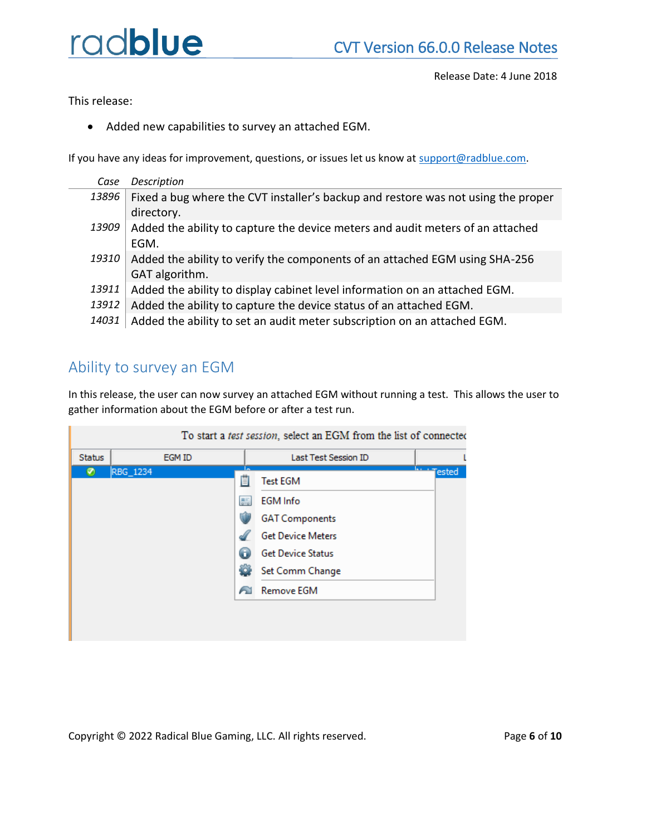This release:

• Added new capabilities to survey an attached EGM.

If you have any ideas for improvement, questions, or issues let us know at [support@radblue.com.](mailto:support@radblue.com)

- *Case Description* 13896 Fixed a bug where the CVT installer's backup and restore was not using the proper directory. 13909 Added the ability to capture the device meters and audit meters of an attached EGM. 19310 Added the ability to verify the components of an attached EGM using SHA-256 GAT algorithm. 13911 Added the ability to display cabinet level information on an attached EGM.
- 13912 Added the ability to capture the device status of an attached EGM.
- 14031 Added the ability to set an audit meter subscription on an attached EGM.

### Ability to survey an EGM

Ш

In this release, the user can now survey an attached EGM without running a test. This allows the user to gather information about the EGM before or after a test run.

| <b>Status</b> | EGM ID   |           | Last Test Session ID     |                    |
|---------------|----------|-----------|--------------------------|--------------------|
| Ø             | RBG_1234 | 苜         | <b>Test EGM</b>          | للمستحدة<br>Tested |
|               |          | <b>BE</b> | <b>EGM</b> Info          |                    |
|               |          |           | <b>GAT Components</b>    |                    |
|               |          |           | <b>Get Device Meters</b> |                    |
|               |          |           | <b>Get Device Status</b> |                    |
|               |          | ÷О        | Set Comm Change          |                    |
|               |          |           | Remove EGM               |                    |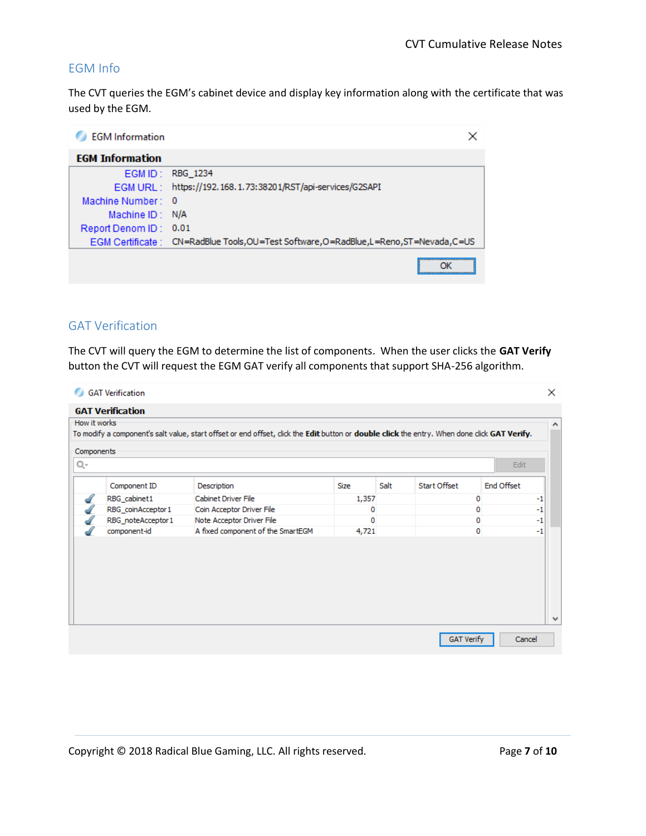### EGM Info

The CVT queries the EGM's cabinet device and display key information along with the certificate that was used by the EGM.

| <b>EGM</b> Information | ×                                                                                        |
|------------------------|------------------------------------------------------------------------------------------|
| <b>EGM Information</b> |                                                                                          |
|                        | EGM ID: RBG 1234                                                                         |
|                        | EGM URL: https://192.168.1.73:38201/RST/api-services/G2SAPI                              |
| Machine Number: 0      |                                                                                          |
| Machine $ID: N/A$      |                                                                                          |
| Report Denom ID: 0.01  |                                                                                          |
|                        | EGM Certificate : CN=RadBlue Tools, OU=Test Software, O=RadBlue, L=Reno, ST=Nevada, C=US |
|                        |                                                                                          |

#### GAT Verification

The CVT will query the EGM to determine the list of components. When the user clicks the **GAT Verify** button the CVT will request the EGM GAT verify all components that support SHA-256 algorithm.

| o<br>How it works | <b>GAT Verification</b><br><b>GAT Verification</b> |                                                                                                                                            |             |      |                   |            | $\times$<br>A. |
|-------------------|----------------------------------------------------|--------------------------------------------------------------------------------------------------------------------------------------------|-------------|------|-------------------|------------|----------------|
|                   |                                                    | To modify a component's salt value, start offset or end offset, dick the Edit button or double click the entry. When done dick GAT Verify. |             |      |                   |            |                |
| Components<br>Q-  |                                                    |                                                                                                                                            |             |      |                   | Edit       |                |
|                   | Component ID                                       | Description                                                                                                                                | <b>Size</b> | Salt | Start Offset      | End Offset |                |
| d                 | RBG_cabinet1                                       | Cabinet Driver File                                                                                                                        | 1,357       |      | 0                 |            | $-1$           |
| d                 | RBG_coinAcceptor1                                  | Coin Acceptor Driver File                                                                                                                  | 0           |      | 0                 |            | $-1$           |
| dl                | RBG_noteAcceptor1                                  | Note Acceptor Driver File                                                                                                                  | 0           |      | 0                 |            | $-1$           |
|                   | component-id                                       | A fixed component of the SmartEGM                                                                                                          | 4,721       |      | 0                 |            | $-1$           |
|                   |                                                    |                                                                                                                                            |             |      |                   |            | v              |
|                   |                                                    |                                                                                                                                            |             |      | <b>GAT Verify</b> | Cancel     |                |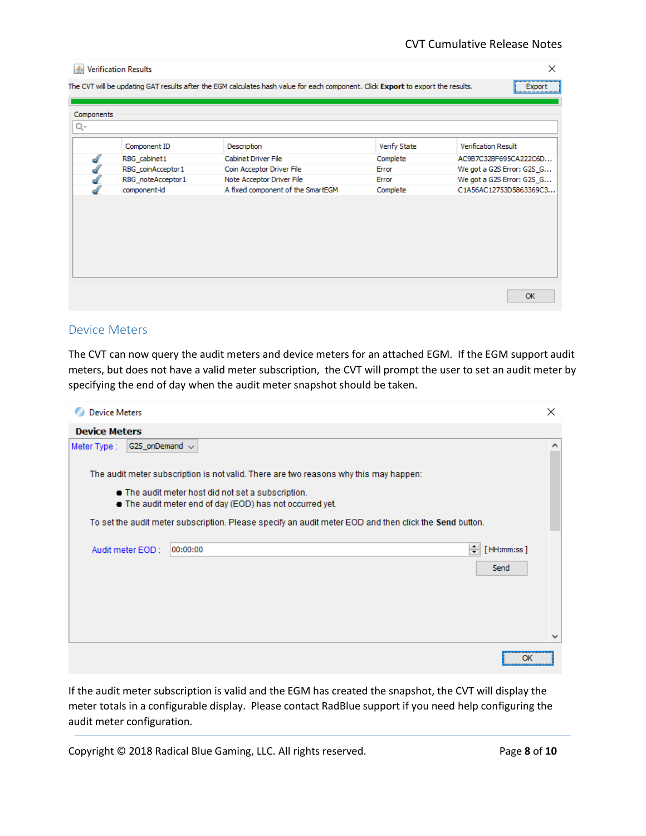| Components |                    |                                   |              |                            |
|------------|--------------------|-----------------------------------|--------------|----------------------------|
|            |                    |                                   |              | <b>Verification Result</b> |
|            | Component ID       | Description                       | Verify State |                            |
|            | RBG_cabinet1       | Cabinet Driver File               | Complete     | AC9B7C32BF695CA222C6D      |
|            | RBG_coinAcceptor 1 | Coin Acceptor Driver File         | Error        | We got a G2S Error: G2S_G  |
|            | RBG noteAcceptor1  | Note Acceptor Driver File         | Error        | We got a G2S Error: G2S G  |
|            | component-id       | A fixed component of the SmartEGM | Complete     | C1A56AC12753D5863369C3     |
|            |                    |                                   |              |                            |
|            |                    |                                   |              |                            |
|            |                    |                                   |              |                            |
|            |                    |                                   |              |                            |
|            |                    |                                   |              |                            |
|            |                    |                                   |              |                            |
|            |                    |                                   |              |                            |
|            |                    |                                   |              |                            |

#### Device Meters

The CVT can now query the audit meters and device meters for an attached EGM. If the EGM support audit meters, but does not have a valid meter subscription, the CVT will prompt the user to set an audit meter by specifying the end of day when the audit meter snapshot should be taken.

| <b>Device Meters</b> |                     |                                                                                                                | ×          |
|----------------------|---------------------|----------------------------------------------------------------------------------------------------------------|------------|
| <b>Device Meters</b> |                     |                                                                                                                |            |
| Meter Type :         | G2S_onDemand $\sim$ |                                                                                                                | A          |
|                      |                     | The audit meter subscription is not valid. There are two reasons why this may happen:                          |            |
|                      |                     | . The audit meter host did not set a subscription.<br>. The audit meter end of day (EOD) has not occurred yet. |            |
|                      |                     | To set the audit meter subscription. Please specify an audit meter EOD and then click the Send button.         |            |
|                      | Audit meter EOD:    | ÷<br>00:00:00                                                                                                  | [HH:mm:ss] |
|                      |                     |                                                                                                                | Send       |
|                      |                     |                                                                                                                |            |
|                      |                     |                                                                                                                |            |
|                      |                     |                                                                                                                | v          |
|                      |                     |                                                                                                                | ОК         |

If the audit meter subscription is valid and the EGM has created the snapshot, the CVT will display the meter totals in a configurable display. Please contact RadBlue support if you need help configuring the audit meter configuration.

Copyright © 2018 Radical Blue Gaming, LLC. All rights reserved. Page **8** of **10**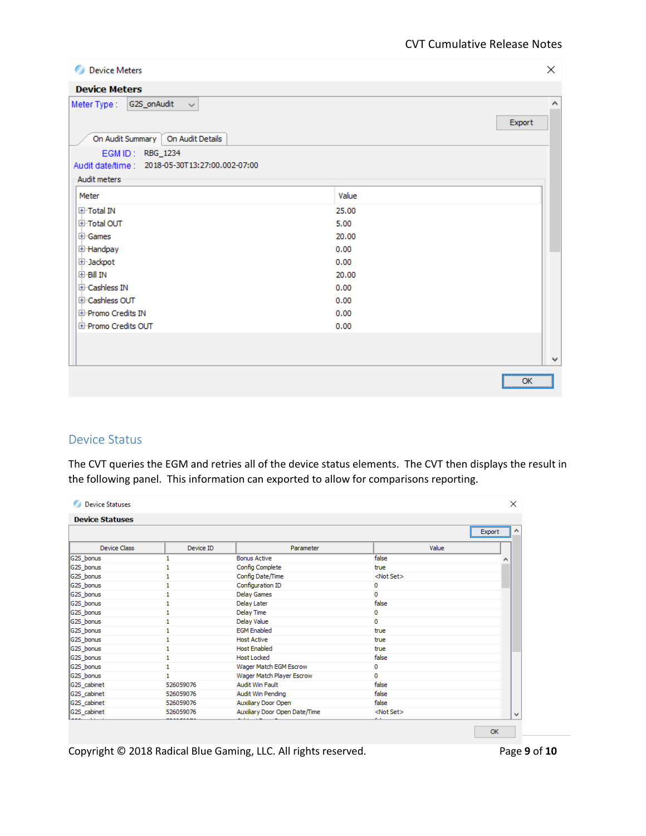| Device Meters                                                                      | $\times$    |
|------------------------------------------------------------------------------------|-------------|
| <b>Device Meters</b>                                                               |             |
| G2S_onAudit<br>Meter Type :<br>$\checkmark$<br>On Audit Summary   On Audit Details | ۸<br>Export |
| EGM ID: RBG_1234<br>Audit date/time : 2018-05-30T13:27:00.002-07:00                |             |
| <b>Audit meters</b>                                                                |             |
| Meter                                                                              | Value       |
| 田·Total IN                                                                         | 25.00       |
| 国·Total OUT                                                                        | 5.00        |
| 田·Games                                                                            | 20.00       |
| E Handpay                                                                          | 0.00        |
| 国·Jackpot                                                                          | 0.00        |
| 国·Bill IN                                                                          | 20.00       |
| El Cashless IN                                                                     | 0.00        |
| El Cashless OUT                                                                    | 0.00        |
| E Promo Credits IN                                                                 | 0.00        |
| E Promo Credits OUT                                                                | 0.00        |
|                                                                                    |             |
|                                                                                    |             |
|                                                                                    | ٧           |
|                                                                                    | OK<br>:     |

#### Device Status

The CVT queries the EGM and retries all of the device status elements. The CVT then displays the result in the following panel. This information can exported to allow for comparisons reporting.

| <b>Device Statuses</b> |           |                               |                    |             |
|------------------------|-----------|-------------------------------|--------------------|-------------|
|                        |           |                               |                    |             |
|                        |           |                               |                    | ^<br>Export |
| <b>Device Class</b>    | Device ID | Parameter                     | Value              |             |
| G2S_bonus              |           | <b>Bonus Active</b>           | false              |             |
| G2S_bonus              |           | Config Complete               | true               |             |
| G2S_bonus              |           | Config Date/Time              | <not set=""></not> |             |
| G2S_bonus              |           | Configuration ID              | 0                  |             |
| G2S_bonus              |           | <b>Delay Games</b>            | 0                  |             |
| G2S_bonus              |           | Delay Later                   | false              |             |
| G2S_bonus              |           | <b>Delay Time</b>             | $\circ$            |             |
| G2S_bonus              |           | Delay Value                   | o                  |             |
| G2S_bonus              |           | <b>EGM Enabled</b>            | true               |             |
| G2S_bonus              |           | <b>Host Active</b>            | true               |             |
| G2S_bonus              |           | <b>Host Enabled</b>           | true               |             |
| G2S_bonus              |           | <b>Host Locked</b>            | false              |             |
| G2S_bonus              |           | Wager Match EGM Escrow        | o                  |             |
| G2S_bonus              |           | Wager Match Player Escrow     | O                  |             |
| G2S_cabinet            | 526059076 | Audit Win Fault               | false              |             |
| G2S_cabinet            | 526059076 | Audit Win Pending             | false              |             |
| G2S_cabinet            | 526059076 | Auxiliary Door Open           | false              |             |
| G2S_cabinet            | 526059076 | Auxiliary Door Open Date/Time | <not set=""></not> | v           |

Copyright © 2018 Radical Blue Gaming, LLC. All rights reserved. Page **9** of **10**